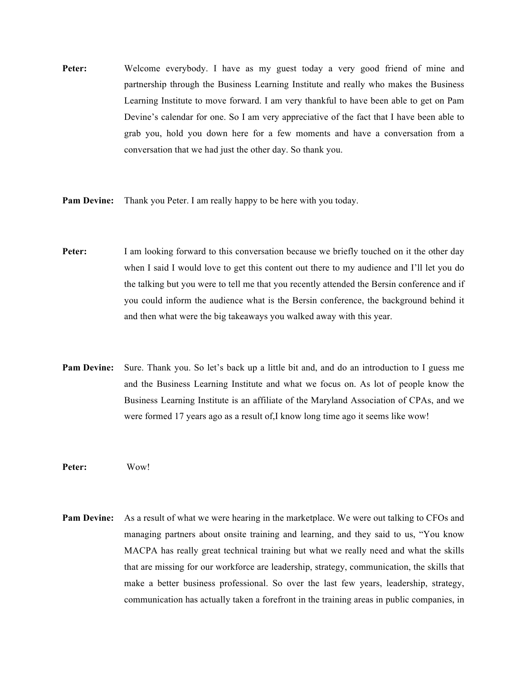**Peter:** Welcome everybody. I have as my guest today a very good friend of mine and partnership through the Business Learning Institute and really who makes the Business Learning Institute to move forward. I am very thankful to have been able to get on Pam Devine's calendar for one. So I am very appreciative of the fact that I have been able to grab you, hold you down here for a few moments and have a conversation from a conversation that we had just the other day. So thank you.

**Pam Devine:** Thank you Peter. I am really happy to be here with you today.

- **Peter:** I am looking forward to this conversation because we briefly touched on it the other day when I said I would love to get this content out there to my audience and I'll let you do the talking but you were to tell me that you recently attended the Bersin conference and if you could inform the audience what is the Bersin conference, the background behind it and then what were the big takeaways you walked away with this year.
- **Pam Devine:** Sure. Thank you. So let's back up a little bit and, and do an introduction to I guess me and the Business Learning Institute and what we focus on. As lot of people know the Business Learning Institute is an affiliate of the Maryland Association of CPAs, and we were formed 17 years ago as a result of,I know long time ago it seems like wow!

**Peter:** Wow!

**Pam Devine:** As a result of what we were hearing in the marketplace. We were out talking to CFOs and managing partners about onsite training and learning, and they said to us, "You know MACPA has really great technical training but what we really need and what the skills that are missing for our workforce are leadership, strategy, communication, the skills that make a better business professional. So over the last few years, leadership, strategy, communication has actually taken a forefront in the training areas in public companies, in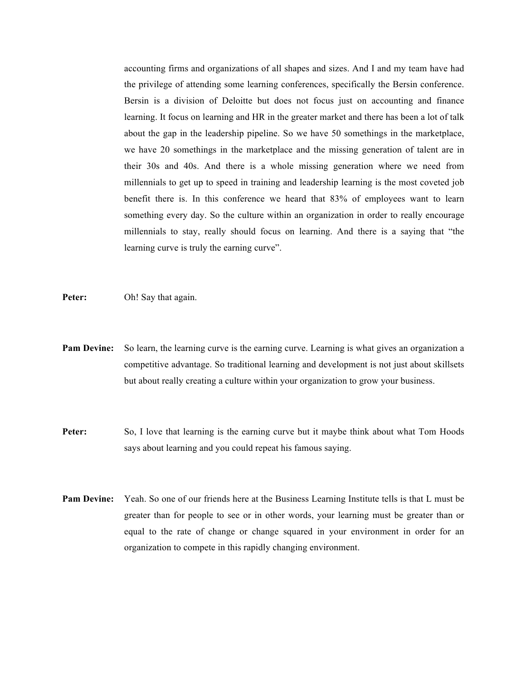accounting firms and organizations of all shapes and sizes. And I and my team have had the privilege of attending some learning conferences, specifically the Bersin conference. Bersin is a division of Deloitte but does not focus just on accounting and finance learning. It focus on learning and HR in the greater market and there has been a lot of talk about the gap in the leadership pipeline. So we have 50 somethings in the marketplace, we have 20 somethings in the marketplace and the missing generation of talent are in their 30s and 40s. And there is a whole missing generation where we need from millennials to get up to speed in training and leadership learning is the most coveted job benefit there is. In this conference we heard that 83% of employees want to learn something every day. So the culture within an organization in order to really encourage millennials to stay, really should focus on learning. And there is a saying that "the learning curve is truly the earning curve".

- **Peter:** Oh! Say that again.
- **Pam Devine:** So learn, the learning curve is the earning curve. Learning is what gives an organization a competitive advantage. So traditional learning and development is not just about skillsets but about really creating a culture within your organization to grow your business.
- **Peter:** So, I love that learning is the earning curve but it maybe think about what Tom Hoods says about learning and you could repeat his famous saying.
- **Pam Devine:** Yeah. So one of our friends here at the Business Learning Institute tells is that L must be greater than for people to see or in other words, your learning must be greater than or equal to the rate of change or change squared in your environment in order for an organization to compete in this rapidly changing environment.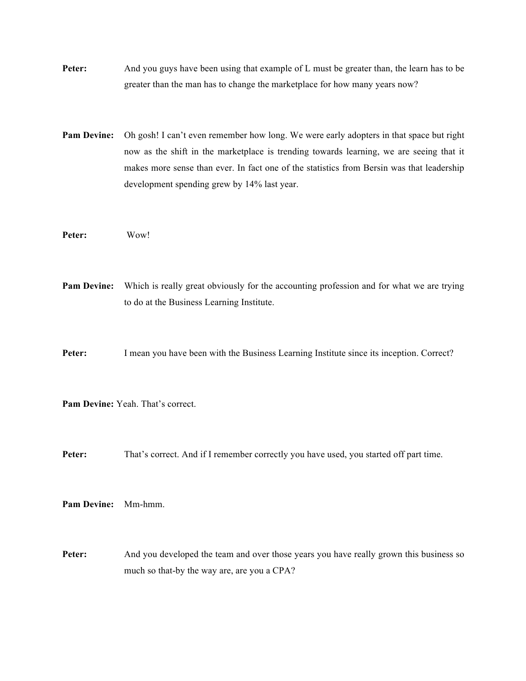**Peter:** And you guys have been using that example of L must be greater than, the learn has to be greater than the man has to change the marketplace for how many years now?

**Pam Devine:** Oh gosh! I can't even remember how long. We were early adopters in that space but right now as the shift in the marketplace is trending towards learning, we are seeing that it makes more sense than ever. In fact one of the statistics from Bersin was that leadership development spending grew by 14% last year.

**Peter:** Wow!

**Pam Devine:** Which is really great obviously for the accounting profession and for what we are trying to do at the Business Learning Institute.

**Peter:** I mean you have been with the Business Learning Institute since its inception. Correct?

**Pam Devine:** Yeah. That's correct.

Peter: That's correct. And if I remember correctly you have used, you started off part time.

**Pam Devine:** Mm-hmm.

**Peter:** And you developed the team and over those years you have really grown this business so much so that-by the way are, are you a CPA?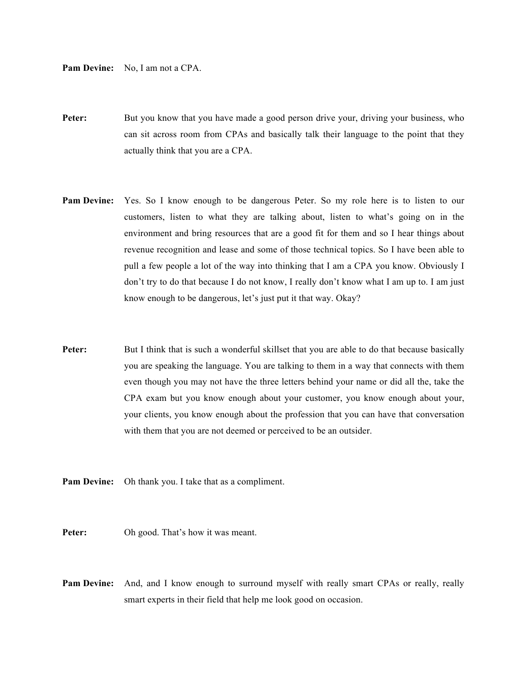**Pam Devine:** No, I am not a CPA.

- **Peter:** But you know that you have made a good person drive your, driving your business, who can sit across room from CPAs and basically talk their language to the point that they actually think that you are a CPA.
- **Pam Devine:** Yes. So I know enough to be dangerous Peter. So my role here is to listen to our customers, listen to what they are talking about, listen to what's going on in the environment and bring resources that are a good fit for them and so I hear things about revenue recognition and lease and some of those technical topics. So I have been able to pull a few people a lot of the way into thinking that I am a CPA you know. Obviously I don't try to do that because I do not know, I really don't know what I am up to. I am just know enough to be dangerous, let's just put it that way. Okay?
- **Peter:** But I think that is such a wonderful skillset that you are able to do that because basically you are speaking the language. You are talking to them in a way that connects with them even though you may not have the three letters behind your name or did all the, take the CPA exam but you know enough about your customer, you know enough about your, your clients, you know enough about the profession that you can have that conversation with them that you are not deemed or perceived to be an outsider.
- **Pam Devine:** Oh thank you. I take that as a compliment.
- Peter: Oh good. That's how it was meant.
- **Pam Devine:** And, and I know enough to surround myself with really smart CPAs or really, really smart experts in their field that help me look good on occasion.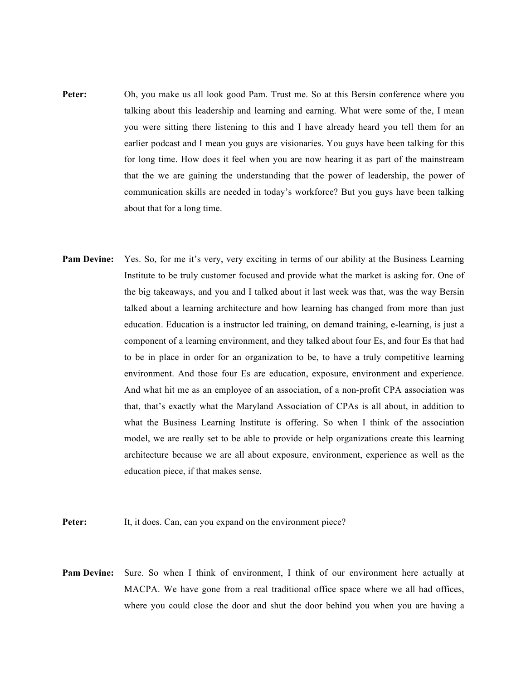- Peter: Oh, you make us all look good Pam. Trust me. So at this Bersin conference where you talking about this leadership and learning and earning. What were some of the, I mean you were sitting there listening to this and I have already heard you tell them for an earlier podcast and I mean you guys are visionaries. You guys have been talking for this for long time. How does it feel when you are now hearing it as part of the mainstream that the we are gaining the understanding that the power of leadership, the power of communication skills are needed in today's workforce? But you guys have been talking about that for a long time.
- **Pam Devine:** Yes. So, for me it's very, very exciting in terms of our ability at the Business Learning Institute to be truly customer focused and provide what the market is asking for. One of the big takeaways, and you and I talked about it last week was that, was the way Bersin talked about a learning architecture and how learning has changed from more than just education. Education is a instructor led training, on demand training, e-learning, is just a component of a learning environment, and they talked about four Es, and four Es that had to be in place in order for an organization to be, to have a truly competitive learning environment. And those four Es are education, exposure, environment and experience. And what hit me as an employee of an association, of a non-profit CPA association was that, that's exactly what the Maryland Association of CPAs is all about, in addition to what the Business Learning Institute is offering. So when I think of the association model, we are really set to be able to provide or help organizations create this learning architecture because we are all about exposure, environment, experience as well as the education piece, if that makes sense.
- **Peter:** It, it does. Can, can you expand on the environment piece?
- **Pam Devine:** Sure. So when I think of environment, I think of our environment here actually at MACPA. We have gone from a real traditional office space where we all had offices, where you could close the door and shut the door behind you when you are having a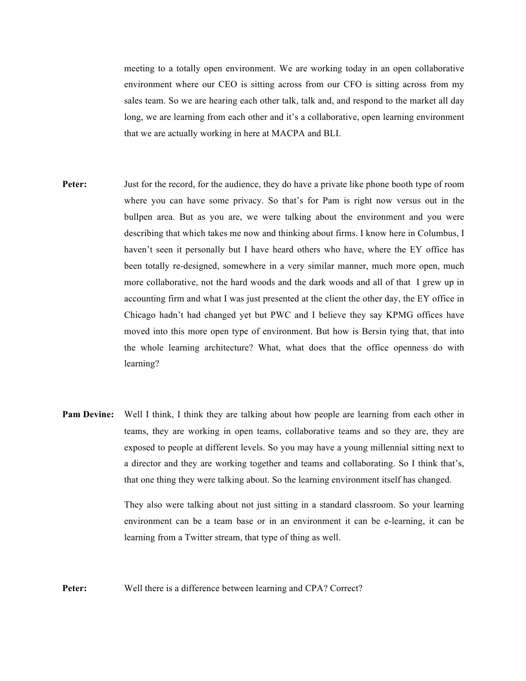meeting to a totally open environment. We are working today in an open collaborative environment where our CEO is sitting across from our CFO is sitting across from my sales team. So we are hearing each other talk, talk and, and respond to the market all day long, we are learning from each other and it's a collaborative, open learning environment that we are actually working in here at MACPA and BLI.

- **Peter:** Just for the record, for the audience, they do have a private like phone booth type of room where you can have some privacy. So that's for Pam is right now versus out in the bullpen area. But as you are, we were talking about the environment and you were describing that which takes me now and thinking about firms. I know here in Columbus, I haven't seen it personally but I have heard others who have, where the EY office has been totally re-designed, somewhere in a very similar manner, much more open, much more collaborative, not the hard woods and the dark woods and all of that I grew up in accounting firm and what I was just presented at the client the other day, the EY office in Chicago hadn't had changed yet but PWC and I believe they say KPMG offices have moved into this more open type of environment. But how is Bersin tying that, that into the whole learning architecture? What, what does that the office openness do with learning?
- **Pam Devine:** Well I think, I think they are talking about how people are learning from each other in teams, they are working in open teams, collaborative teams and so they are, they are exposed to people at different levels. So you may have a young millennial sitting next to a director and they are working together and teams and collaborating. So I think that's, that one thing they were talking about. So the learning environment itself has changed.

They also were talking about not just sitting in a standard classroom. So your learning environment can be a team base or in an environment it can be e-learning, it can be learning from a Twitter stream, that type of thing as well.

**Peter:** Well there is a difference between learning and CPA? Correct?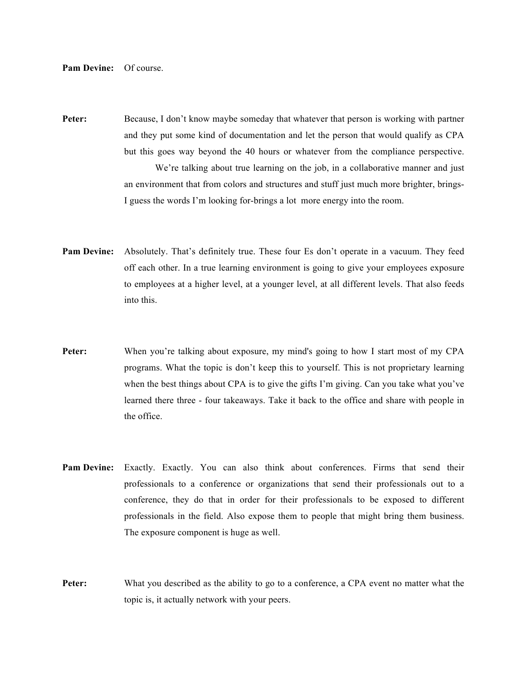**Pam Devine:** Of course.

**Peter:** Because, I don't know maybe someday that whatever that person is working with partner and they put some kind of documentation and let the person that would qualify as CPA but this goes way beyond the 40 hours or whatever from the compliance perspective. We're talking about true learning on the job, in a collaborative manner and just an environment that from colors and structures and stuff just much more brighter, brings-I guess the words I'm looking for-brings a lot more energy into the room.

- **Pam Devine:** Absolutely. That's definitely true. These four Es don't operate in a vacuum. They feed off each other. In a true learning environment is going to give your employees exposure to employees at a higher level, at a younger level, at all different levels. That also feeds into this.
- Peter: When you're talking about exposure, my mind's going to how I start most of my CPA programs. What the topic is don't keep this to yourself. This is not proprietary learning when the best things about CPA is to give the gifts I'm giving. Can you take what you've learned there three - four takeaways. Take it back to the office and share with people in the office.
- **Pam Devine:** Exactly. Exactly. You can also think about conferences. Firms that send their professionals to a conference or organizations that send their professionals out to a conference, they do that in order for their professionals to be exposed to different professionals in the field. Also expose them to people that might bring them business. The exposure component is huge as well.
- **Peter:** What you described as the ability to go to a conference, a CPA event no matter what the topic is, it actually network with your peers.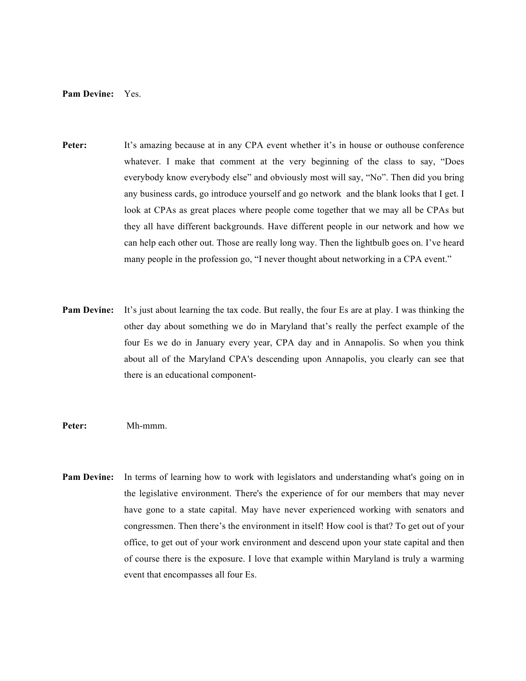## **Pam Devine:** Yes.

- **Peter:** It's amazing because at in any CPA event whether it's in house or outhouse conference whatever. I make that comment at the very beginning of the class to say, "Does everybody know everybody else" and obviously most will say, "No". Then did you bring any business cards, go introduce yourself and go network and the blank looks that I get. I look at CPAs as great places where people come together that we may all be CPAs but they all have different backgrounds. Have different people in our network and how we can help each other out. Those are really long way. Then the lightbulb goes on. I've heard many people in the profession go, "I never thought about networking in a CPA event."
- **Pam Devine:** It's just about learning the tax code. But really, the four Es are at play. I was thinking the other day about something we do in Maryland that's really the perfect example of the four Es we do in January every year, CPA day and in Annapolis. So when you think about all of the Maryland CPA's descending upon Annapolis, you clearly can see that there is an educational component-

## **Peter:** Mh-mmm.

**Pam Devine:** In terms of learning how to work with legislators and understanding what's going on in the legislative environment. There's the experience of for our members that may never have gone to a state capital. May have never experienced working with senators and congressmen. Then there's the environment in itself! How cool is that? To get out of your office, to get out of your work environment and descend upon your state capital and then of course there is the exposure. I love that example within Maryland is truly a warming event that encompasses all four Es.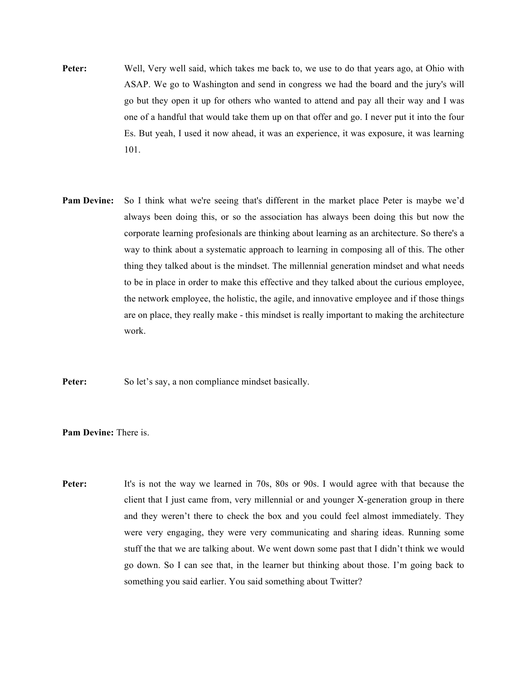- **Peter:** Well, Very well said, which takes me back to, we use to do that years ago, at Ohio with ASAP. We go to Washington and send in congress we had the board and the jury's will go but they open it up for others who wanted to attend and pay all their way and I was one of a handful that would take them up on that offer and go. I never put it into the four Es. But yeah, I used it now ahead, it was an experience, it was exposure, it was learning 101.
- **Pam Devine:** So I think what we're seeing that's different in the market place Peter is maybe we'd always been doing this, or so the association has always been doing this but now the corporate learning profesionals are thinking about learning as an architecture. So there's a way to think about a systematic approach to learning in composing all of this. The other thing they talked about is the mindset. The millennial generation mindset and what needs to be in place in order to make this effective and they talked about the curious employee, the network employee, the holistic, the agile, and innovative employee and if those things are on place, they really make - this mindset is really important to making the architecture work.

**Peter:** So let's say, a non compliance mindset basically.

**Pam Devine:** There is.

**Peter:** It's is not the way we learned in 70s, 80s or 90s. I would agree with that because the client that I just came from, very millennial or and younger X-generation group in there and they weren't there to check the box and you could feel almost immediately. They were very engaging, they were very communicating and sharing ideas. Running some stuff the that we are talking about. We went down some past that I didn't think we would go down. So I can see that, in the learner but thinking about those. I'm going back to something you said earlier. You said something about Twitter?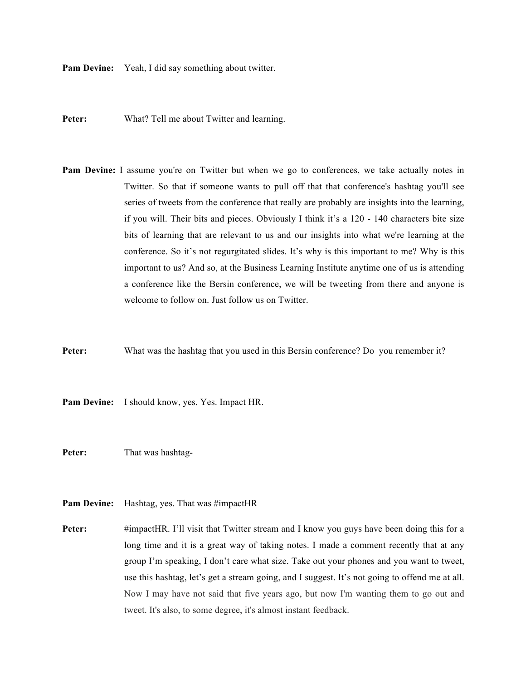**Pam Devine:** Yeah, I did say something about twitter.

Peter: What? Tell me about Twitter and learning.

- **Pam Devine:** I assume you're on Twitter but when we go to conferences, we take actually notes in Twitter. So that if someone wants to pull off that that conference's hashtag you'll see series of tweets from the conference that really are probably are insights into the learning, if you will. Their bits and pieces. Obviously I think it's a 120 - 140 characters bite size bits of learning that are relevant to us and our insights into what we're learning at the conference. So it's not regurgitated slides. It's why is this important to me? Why is this important to us? And so, at the Business Learning Institute anytime one of us is attending a conference like the Bersin conference, we will be tweeting from there and anyone is welcome to follow on. Just follow us on Twitter.
- **Peter:** What was the hashtag that you used in this Bersin conference? Do you remember it?

**Pam Devine:** I should know, yes. Yes. Impact HR.

Peter: That was hashtag-

- Pam Devine: Hashtag, yes. That was #impactHR
- **Peter:** #impactHR. I'll visit that Twitter stream and I know you guys have been doing this for a long time and it is a great way of taking notes. I made a comment recently that at any group I'm speaking, I don't care what size. Take out your phones and you want to tweet, use this hashtag, let's get a stream going, and I suggest. It's not going to offend me at all. Now I may have not said that five years ago, but now I'm wanting them to go out and tweet. It's also, to some degree, it's almost instant feedback.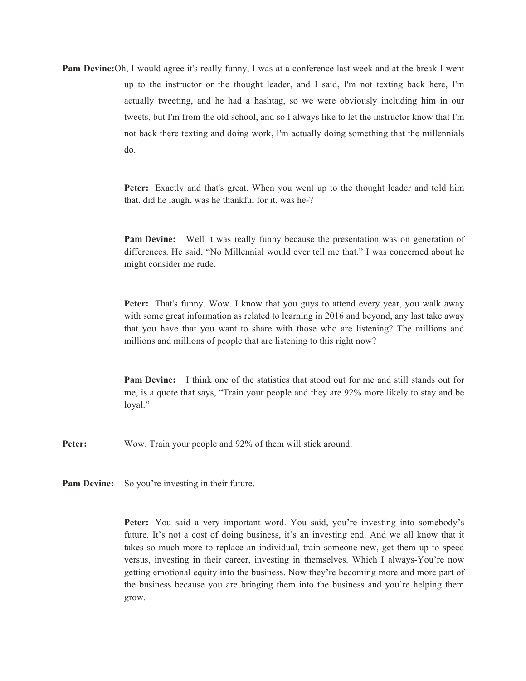**Pam Devine:**Oh, I would agree it's really funny, I was at a conference last week and at the break I went up to the instructor or the thought leader, and I said, I'm not texting back here, I'm actually tweeting, and he had a hashtag, so we were obviously including him in our tweets, but I'm from the old school, and so I always like to let the instructor know that I'm not back there texting and doing work, I'm actually doing something that the millennials do.

> **Peter:** Exactly and that's great. When you went up to the thought leader and told him that, did he laugh, was he thankful for it, was he-?

> **Pam Devine:** Well it was really funny because the presentation was on generation of differences. He said, "No Millennial would ever tell me that." I was concerned about he might consider me rude.

> **Peter:** That's funny. Wow. I know that you guys to attend every year, you walk away with some great information as related to learning in 2016 and beyond, any last take away that you have that you want to share with those who are listening? The millions and millions and millions of people that are listening to this right now?

> **Pam Devine:** I think one of the statistics that stood out for me and still stands out for me, is a quote that says, "Train your people and they are 92% more likely to stay and be loyal."

**Peter:** Wow. Train your people and 92% of them will stick around.

**Pam Devine:** So you're investing in their future.

**Peter:** You said a very important word. You said, you're investing into somebody's future. It's not a cost of doing business, it's an investing end. And we all know that it takes so much more to replace an individual, train someone new, get them up to speed versus, investing in their career, investing in themselves. Which I always-You're now getting emotional equity into the business. Now they're becoming more and more part of the business because you are bringing them into the business and you're helping them grow.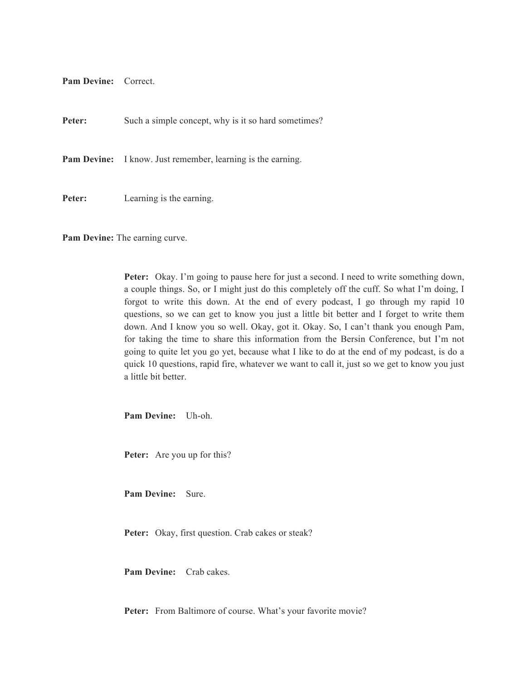**Pam Devine:** Correct.

**Peter:** Such a simple concept, why is it so hard sometimes?

Pam Devine: I know. Just remember, learning is the earning.

**Peter:** Learning is the earning.

**Pam Devine:** The earning curve.

**Peter:** Okay. I'm going to pause here for just a second. I need to write something down, a couple things. So, or I might just do this completely off the cuff. So what I'm doing, I forgot to write this down. At the end of every podcast, I go through my rapid 10 questions, so we can get to know you just a little bit better and I forget to write them down. And I know you so well. Okay, got it. Okay. So, I can't thank you enough Pam, for taking the time to share this information from the Bersin Conference, but I'm not going to quite let you go yet, because what I like to do at the end of my podcast, is do a quick 10 questions, rapid fire, whatever we want to call it, just so we get to know you just a little bit better.

**Pam Devine:** Uh-oh.

**Peter:** Are you up for this?

**Pam Devine:** Sure.

**Peter:** Okay, first question. Crab cakes or steak?

**Pam Devine:** Crab cakes.

Peter: From Baltimore of course. What's your favorite movie?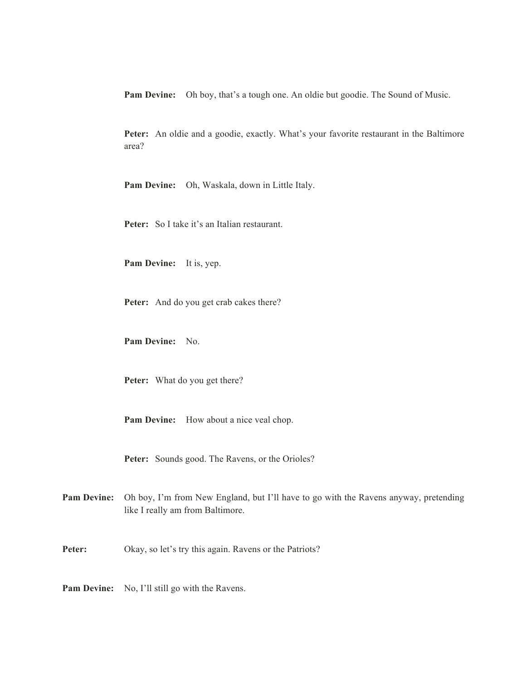**Pam Devine:** Oh boy, that's a tough one. An oldie but goodie. The Sound of Music.

**Peter:** An oldie and a goodie, exactly. What's your favorite restaurant in the Baltimore area?

**Pam Devine:** Oh, Waskala, down in Little Italy.

**Peter:** So I take it's an Italian restaurant.

**Pam Devine:** It is, yep.

**Peter:** And do you get crab cakes there?

**Pam Devine:** No.

**Peter:** What do you get there?

**Pam Devine:** How about a nice veal chop.

**Peter:** Sounds good. The Ravens, or the Orioles?

- **Pam Devine:** Oh boy, I'm from New England, but I'll have to go with the Ravens anyway, pretending like I really am from Baltimore.
- Peter: Okay, so let's try this again. Ravens or the Patriots?

**Pam Devine:** No, I'll still go with the Ravens.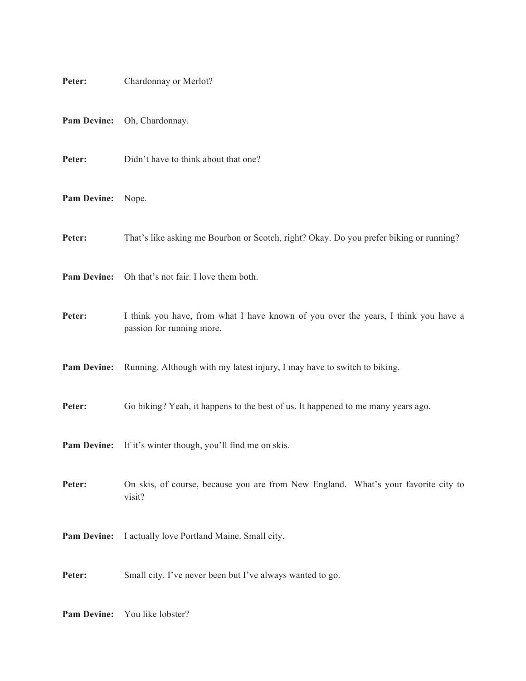| Peter:             | Chardonnay or Merlot?                                                                                           |
|--------------------|-----------------------------------------------------------------------------------------------------------------|
| <b>Pam Devine:</b> | Oh, Chardonnay.                                                                                                 |
| Peter:             | Didn't have to think about that one?                                                                            |
| <b>Pam Devine:</b> | Nope.                                                                                                           |
| Peter:             | That's like asking me Bourbon or Scotch, right? Okay. Do you prefer biking or running?                          |
| <b>Pam Devine:</b> | Oh that's not fair. I love them both.                                                                           |
| Peter:             | I think you have, from what I have known of you over the years, I think you have a<br>passion for running more. |
| <b>Pam Devine:</b> | Running. Although with my latest injury, I may have to switch to biking.                                        |
| Peter:             | Go biking? Yeah, it happens to the best of us. It happened to me many years ago.                                |
|                    | Pam Devine: If it's winter though, you'll find me on skis.                                                      |
| Peter:             | On skis, of course, because you are from New England. What's your favorite city to<br>visit?                    |
| <b>Pam Devine:</b> | I actually love Portland Maine. Small city.                                                                     |
| Peter:             | Small city. I've never been but I've always wanted to go.                                                       |
| <b>Pam Devine:</b> | You like lobster?                                                                                               |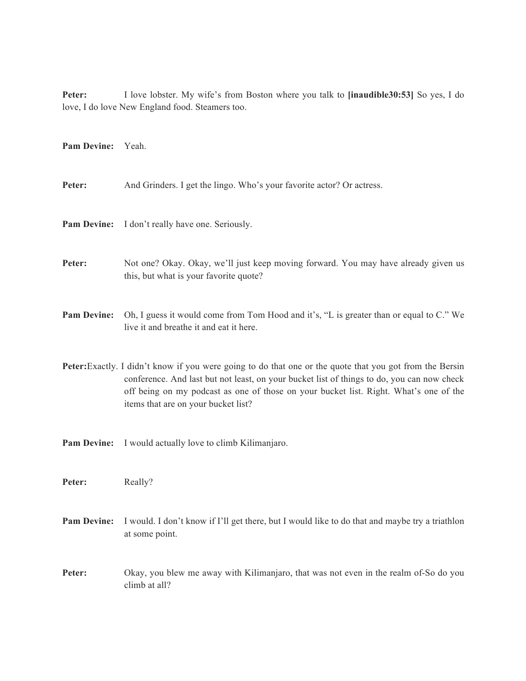**Peter:** I love lobster. My wife's from Boston where you talk to **[inaudible30:53]** So yes, I do love, I do love New England food. Steamers too.

**Pam Devine:** Yeah.

Peter: And Grinders. I get the lingo. Who's your favorite actor? Or actress.

**Pam Devine:** I don't really have one. Seriously.

**Peter:** Not one? Okay. Okay, we'll just keep moving forward. You may have already given us this, but what is your favorite quote?

- **Pam Devine:** Oh, I guess it would come from Tom Hood and it's, "L is greater than or equal to C." We live it and breathe it and eat it here.
- **Peter:**Exactly. I didn't know if you were going to do that one or the quote that you got from the Bersin conference. And last but not least, on your bucket list of things to do, you can now check off being on my podcast as one of those on your bucket list. Right. What's one of the items that are on your bucket list?

**Pam Devine:** I would actually love to climb Kilimanjaro.

Peter: Really?

- **Pam Devine:** I would. I don't know if I'll get there, but I would like to do that and maybe try a triathlon at some point.
- **Peter:** Okay, you blew me away with Kilimanjaro, that was not even in the realm of-So do you climb at all?